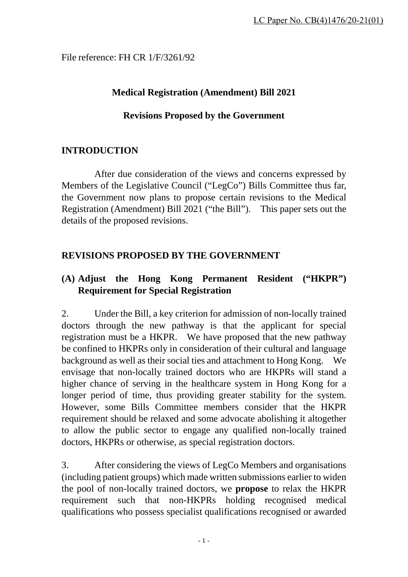File reference: FH CR 1/F/3261/92

# **Medical Registration (Amendment) Bill 2021**

# **Revisions Proposed by the Government**

# **INTRODUCTION**

 After due consideration of the views and concerns expressed by Members of the Legislative Council ("LegCo") Bills Committee thus far, the Government now plans to propose certain revisions to the Medical Registration (Amendment) Bill 2021 ("the Bill"). This paper sets out the details of the proposed revisions.

# **REVISIONS PROPOSED BY THE GOVERNMENT**

# **(A) Adjust the Hong Kong Permanent Resident ("HKPR") Requirement for Special Registration**

2. Under the Bill, a key criterion for admission of non-locally trained doctors through the new pathway is that the applicant for special registration must be a HKPR. We have proposed that the new pathway be confined to HKPRs only in consideration of their cultural and language background as well as their social ties and attachment to Hong Kong. We envisage that non-locally trained doctors who are HKPRs will stand a higher chance of serving in the healthcare system in Hong Kong for a longer period of time, thus providing greater stability for the system. However, some Bills Committee members consider that the HKPR requirement should be relaxed and some advocate abolishing it altogether to allow the public sector to engage any qualified non-locally trained doctors, HKPRs or otherwise, as special registration doctors.

3. After considering the views of LegCo Members and organisations (including patient groups) which made written submissions earlier to widen the pool of non-locally trained doctors, we **propose** to relax the HKPR requirement such that non-HKPRs holding recognised medical qualifications who possess specialist qualifications recognised or awarded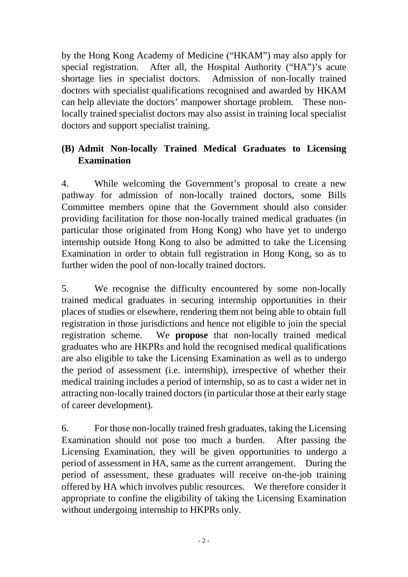by the Hong Kong Academy of Medicine ("HKAM") may also apply for special registration. After all, the Hospital Authority ("HA")'s acute shortage lies in specialist doctors. Admission of non-locally trained doctors with specialist qualifications recognised and awarded by HKAM can help alleviate the doctors' manpower shortage problem. These nonlocally trained specialist doctors may also assist in training local specialist doctors and support specialist training.

# **(B) Admit Non-locally Trained Medical Graduates to Licensing Examination**

4. While welcoming the Government's proposal to create a new pathway for admission of non-locally trained doctors, some Bills Committee members opine that the Government should also consider providing facilitation for those non-locally trained medical graduates (in particular those originated from Hong Kong) who have yet to undergo internship outside Hong Kong to also be admitted to take the Licensing Examination in order to obtain full registration in Hong Kong, so as to further widen the pool of non-locally trained doctors.

5. We recognise the difficulty encountered by some non-locally trained medical graduates in securing internship opportunities in their places of studies or elsewhere, rendering them not being able to obtain full registration in those jurisdictions and hence not eligible to join the special registration scheme. We **propose** that non-locally trained medical graduates who are HKPRs and hold the recognised medical qualifications are also eligible to take the Licensing Examination as well as to undergo the period of assessment (i.e. internship), irrespective of whether their medical training includes a period of internship, so as to cast a wider net in attracting non-locally trained doctors (in particular those at their early stage of career development).

6. For those non-locally trained fresh graduates, taking the Licensing Examination should not pose too much a burden. After passing the Licensing Examination, they will be given opportunities to undergo a period of assessment in HA, same as the current arrangement. During the period of assessment, these graduates will receive on-the-job training offered by HA which involves public resources. We therefore consider it appropriate to confine the eligibility of taking the Licensing Examination without undergoing internship to HKPRs only.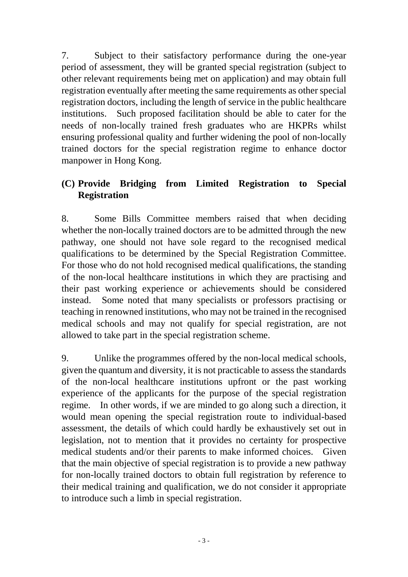7. Subject to their satisfactory performance during the one-year period of assessment, they will be granted special registration (subject to other relevant requirements being met on application) and may obtain full registration eventually after meeting the same requirements as other special registration doctors, including the length of service in the public healthcare institutions. Such proposed facilitation should be able to cater for the needs of non-locally trained fresh graduates who are HKPRs whilst ensuring professional quality and further widening the pool of non-locally trained doctors for the special registration regime to enhance doctor manpower in Hong Kong.

# **(C) Provide Bridging from Limited Registration to Special Registration**

8. Some Bills Committee members raised that when deciding whether the non-locally trained doctors are to be admitted through the new pathway, one should not have sole regard to the recognised medical qualifications to be determined by the Special Registration Committee. For those who do not hold recognised medical qualifications, the standing of the non-local healthcare institutions in which they are practising and their past working experience or achievements should be considered instead. Some noted that many specialists or professors practising or teaching in renowned institutions, who may not be trained in the recognised medical schools and may not qualify for special registration, are not allowed to take part in the special registration scheme.

9. Unlike the programmes offered by the non-local medical schools, given the quantum and diversity, it is not practicable to assess the standards of the non-local healthcare institutions upfront or the past working experience of the applicants for the purpose of the special registration regime. In other words, if we are minded to go along such a direction, it would mean opening the special registration route to individual-based assessment, the details of which could hardly be exhaustively set out in legislation, not to mention that it provides no certainty for prospective medical students and/or their parents to make informed choices. Given that the main objective of special registration is to provide a new pathway for non-locally trained doctors to obtain full registration by reference to their medical training and qualification, we do not consider it appropriate to introduce such a limb in special registration.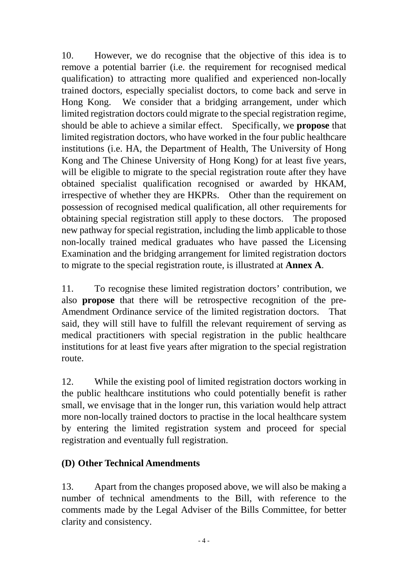10. However, we do recognise that the objective of this idea is to remove a potential barrier (i.e. the requirement for recognised medical qualification) to attracting more qualified and experienced non-locally trained doctors, especially specialist doctors, to come back and serve in Hong Kong. We consider that a bridging arrangement, under which limited registration doctors could migrate to the special registration regime, should be able to achieve a similar effect. Specifically, we **propose** that limited registration doctors, who have worked in the four public healthcare institutions (i.e. HA, the Department of Health, The University of Hong Kong and The Chinese University of Hong Kong) for at least five years, will be eligible to migrate to the special registration route after they have obtained specialist qualification recognised or awarded by HKAM, irrespective of whether they are HKPRs. Other than the requirement on possession of recognised medical qualification, all other requirements for obtaining special registration still apply to these doctors. The proposed new pathway for special registration, including the limb applicable to those non-locally trained medical graduates who have passed the Licensing Examination and the bridging arrangement for limited registration doctors to migrate to the special registration route, is illustrated at **Annex A**.

11. To recognise these limited registration doctors' contribution, we also **propose** that there will be retrospective recognition of the pre-Amendment Ordinance service of the limited registration doctors. That said, they will still have to fulfill the relevant requirement of serving as medical practitioners with special registration in the public healthcare institutions for at least five years after migration to the special registration route.

12. While the existing pool of limited registration doctors working in the public healthcare institutions who could potentially benefit is rather small, we envisage that in the longer run, this variation would help attract more non-locally trained doctors to practise in the local healthcare system by entering the limited registration system and proceed for special registration and eventually full registration.

# **(D) Other Technical Amendments**

13. Apart from the changes proposed above, we will also be making a number of technical amendments to the Bill, with reference to the comments made by the Legal Adviser of the Bills Committee, for better clarity and consistency.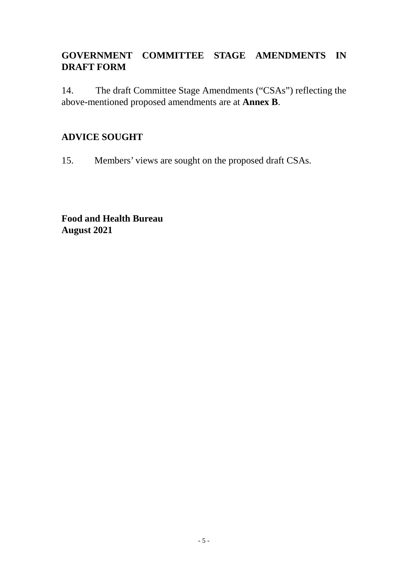# **GOVERNMENT COMMITTEE STAGE AMENDMENTS IN DRAFT FORM**

14. The draft Committee Stage Amendments ("CSAs") reflecting the above-mentioned proposed amendments are at **Annex B**.

# **ADVICE SOUGHT**

15. Members' views are sought on the proposed draft CSAs.

**Food and Health Bureau August 2021**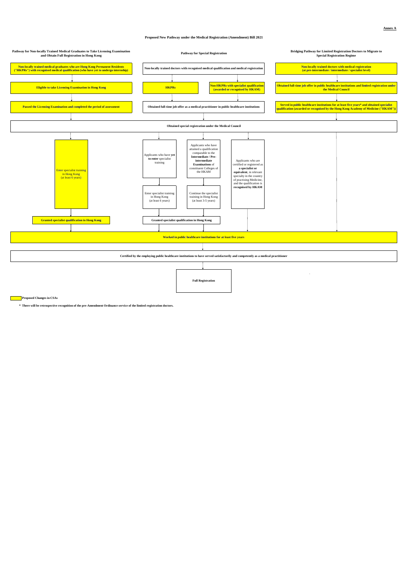#### **Proposed New Pathway under the Medical Registration (Amendment) Bill 2021**

**\* There will be retrospective recognition of the pre-Amendment Ordinance service of the limited registration doctors.**



**Proposed Changes in CSAs**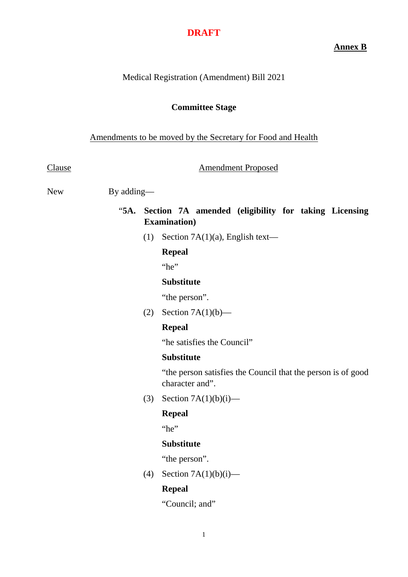**Annex B**

### Medical Registration (Amendment) Bill 2021

#### **Committee Stage**

#### Amendments to be moved by the Secretary for Food and Health

Clause **Amendment Proposed** 

New By adding—

## "**5A. Section 7A amended (eligibility for taking Licensing Examination)**

(1) Section 7A(1)(a), English text—

#### **Repeal**

"he"

#### **Substitute**

"the person".

(2) Section  $7A(1)(b)$ —

### **Repeal**

"he satisfies the Council"

### **Substitute**

"the person satisfies the Council that the person is of good character and".

(3) Section  $7A(1)(b)(i)$ —

### **Repeal**

"he"

#### **Substitute**

"the person".

(4) Section  $7A(1)(b)(i)$ —

#### **Repeal**

"Council; and"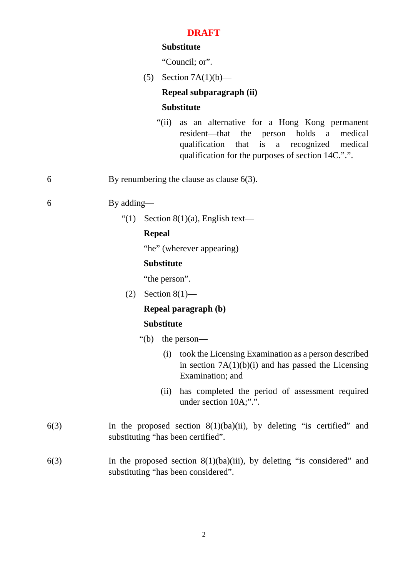### **Substitute**

"Council: or".

(5) Section  $7A(1)(b)$ —

### **Repeal subparagraph (ii)**

#### **Substitute**

"(ii) as an alternative for a Hong Kong permanent resident—that the person holds a medical qualification that is a recognized medical qualification for the purposes of section 14C.".".

6 By renumbering the clause as clause 6(3).

6 By adding—

"(1) Section  $8(1)(a)$ , English text—

### **Repeal**

"he" (wherever appearing)

#### **Substitute**

"the person".

 $(2)$  Section 8(1)—

### **Repeal paragraph (b)**

#### **Substitute**

- "(b) the person—
	- (i) took the Licensing Examination as a person described in section  $7A(1)(b)(i)$  and has passed the Licensing Examination; and
	- (ii) has completed the period of assessment required under section 10A;".".
- 6(3) In the proposed section 8(1)(ba)(ii), by deleting "is certified" and substituting "has been certified".
- 6(3) In the proposed section 8(1)(ba)(iii), by deleting "is considered" and substituting "has been considered".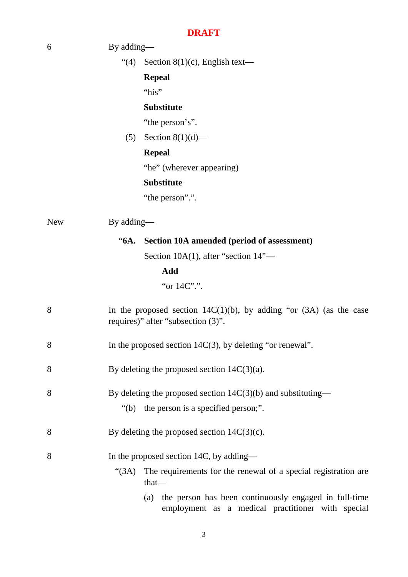|            | <b>DRAFT</b>                                                                                                      |
|------------|-------------------------------------------------------------------------------------------------------------------|
| 6          | By adding—                                                                                                        |
|            | Section $8(1)(c)$ , English text—<br>(4)                                                                          |
|            | <b>Repeal</b>                                                                                                     |
|            | "his"                                                                                                             |
|            | <b>Substitute</b>                                                                                                 |
|            | "the person's".                                                                                                   |
|            | Section $8(1)(d)$ —<br>(5)                                                                                        |
|            | <b>Repeal</b>                                                                                                     |
|            | "he" (wherever appearing)                                                                                         |
|            | <b>Substitute</b>                                                                                                 |
|            | "the person".".                                                                                                   |
| <b>New</b> | By adding—                                                                                                        |
|            | "6A. Section 10A amended (period of assessment)                                                                   |
|            | Section 10A(1), after "section $14"$ —                                                                            |
|            | Add                                                                                                               |
|            | "or 14C".".                                                                                                       |
| 8          | In the proposed section $14C(1)(b)$ , by adding "or $(3A)$ (as the case<br>requires)" after "subsection (3)".     |
| 8          | In the proposed section $14C(3)$ , by deleting "or renewal".                                                      |
| 8          | By deleting the proposed section $14C(3)(a)$ .                                                                    |
| 8          | By deleting the proposed section $14C(3)(b)$ and substituting—                                                    |
|            | "(b) the person is a specified person;".                                                                          |
| 8          | By deleting the proposed section $14C(3)(c)$ .                                                                    |
| 8          | In the proposed section 14C, by adding—                                                                           |
|            | The requirements for the renewal of a special registration are<br>" $(3A)$<br>$that$ —                            |
|            | the person has been continuously engaged in full-time<br>(a)<br>employment as a medical practitioner with special |

3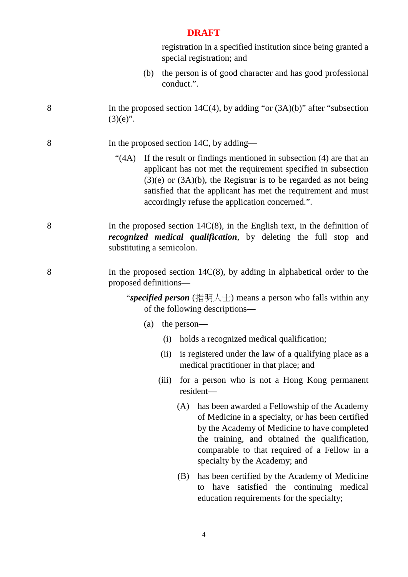registration in a specified institution since being granted a special registration; and

- (b) the person is of good character and has good professional conduct.".
- 8 In the proposed section 14C(4), by adding "or (3A)(b)" after "subsection  $(3)(e)$ ".
- 8 In the proposed section 14C, by adding—
	- "(4A) If the result or findings mentioned in subsection (4) are that an applicant has not met the requirement specified in subsection  $(3)(e)$  or  $(3A)(b)$ , the Registrar is to be regarded as not being satisfied that the applicant has met the requirement and must accordingly refuse the application concerned.".
- 8 In the proposed section 14C(8), in the English text, in the definition of *recognized medical qualification*, by deleting the full stop and substituting a semicolon.
- 8 In the proposed section 14C(8), by adding in alphabetical order to the proposed definitions—

"*specified person* (指明人士) means a person who falls within any of the following descriptions—

- (a) the person—
	- (i) holds a recognized medical qualification;
	- (ii) is registered under the law of a qualifying place as a medical practitioner in that place; and
	- (iii) for a person who is not a Hong Kong permanent resident—
		- (A) has been awarded a Fellowship of the Academy of Medicine in a specialty, or has been certified by the Academy of Medicine to have completed the training, and obtained the qualification, comparable to that required of a Fellow in a specialty by the Academy; and
		- (B) has been certified by the Academy of Medicine to have satisfied the continuing medical education requirements for the specialty;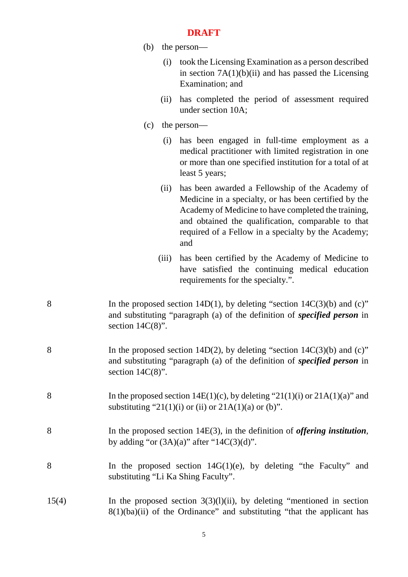- (b) the person—
	- (i) took the Licensing Examination as a person described in section  $7A(1)(b)(ii)$  and has passed the Licensing Examination; and
	- (ii) has completed the period of assessment required under section 10A;
- (c) the person—
	- (i) has been engaged in full-time employment as a medical practitioner with limited registration in one or more than one specified institution for a total of at least 5 years;
	- (ii) has been awarded a Fellowship of the Academy of Medicine in a specialty, or has been certified by the Academy of Medicine to have completed the training, and obtained the qualification, comparable to that required of a Fellow in a specialty by the Academy; and
	- (iii) has been certified by the Academy of Medicine to have satisfied the continuing medical education requirements for the specialty.".
- 8 In the proposed section  $14D(1)$ , by deleting "section  $14C(3)(b)$  and (c)" and substituting "paragraph (a) of the definition of *specified person* in section  $14C(8)$ ".
- 8 In the proposed section 14D(2), by deleting "section 14C(3)(b) and (c)" and substituting "paragraph (a) of the definition of *specified person* in section  $14C(8)$ ".
- 8 In the proposed section  $14E(1)(c)$ , by deleting "21(1)(i) or 21A(1)(a)" and substituting "21(1)(i) or (ii) or  $21A(1)(a)$  or (b)".
- 8 In the proposed section 14E(3), in the definition of *offering institution*, by adding "or  $(3A)(a)$ " after "14C $(3)(d)$ ".
- 8 In the proposed section 14G(1)(e), by deleting "the Faculty" and substituting "Li Ka Shing Faculty".
- $15(4)$  In the proposed section  $3(3)(1)(ii)$ , by deleting "mentioned in section  $8(1)(ba)(ii)$  of the Ordinance" and substituting "that the applicant has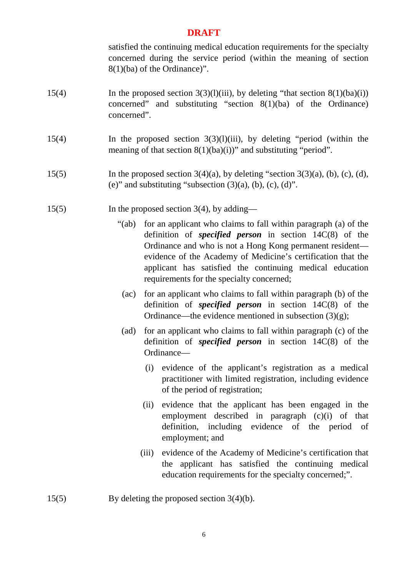satisfied the continuing medical education requirements for the specialty concerned during the service period (within the meaning of section 8(1)(ba) of the Ordinance)".

- 15(4) In the proposed section  $3(3)(1)(iii)$ , by deleting "that section  $8(1)(ba)(i)$ concerned" and substituting "section 8(1)(ba) of the Ordinance) concerned".
- 15(4) In the proposed section 3(3)(l)(iii), by deleting "period (within the meaning of that section  $8(1)(ba)(i)$ " and substituting "period".
- 15(5) In the proposed section  $3(4)(a)$ , by deleting "section  $3(3)(a)$ , (b), (c), (d), (e)" and substituting "subsection  $(3)(a)$ ,  $(b)$ ,  $(c)$ ,  $(d)$ ".
- 15(5) In the proposed section 3(4), by adding—
	- "(ab) for an applicant who claims to fall within paragraph (a) of the definition of *specified person* in section 14C(8) of the Ordinance and who is not a Hong Kong permanent resident evidence of the Academy of Medicine's certification that the applicant has satisfied the continuing medical education requirements for the specialty concerned;
		- (ac) for an applicant who claims to fall within paragraph (b) of the definition of *specified person* in section 14C(8) of the Ordinance—the evidence mentioned in subsection (3)(g);
	- (ad) for an applicant who claims to fall within paragraph (c) of the definition of *specified person* in section 14C(8) of the Ordinance—
		- (i) evidence of the applicant's registration as a medical practitioner with limited registration, including evidence of the period of registration;
		- (ii) evidence that the applicant has been engaged in the employment described in paragraph (c)(i) of that definition, including evidence of the period of employment; and
		- (iii) evidence of the Academy of Medicine's certification that the applicant has satisfied the continuing medical education requirements for the specialty concerned;".
- 15(5) By deleting the proposed section 3(4)(b).